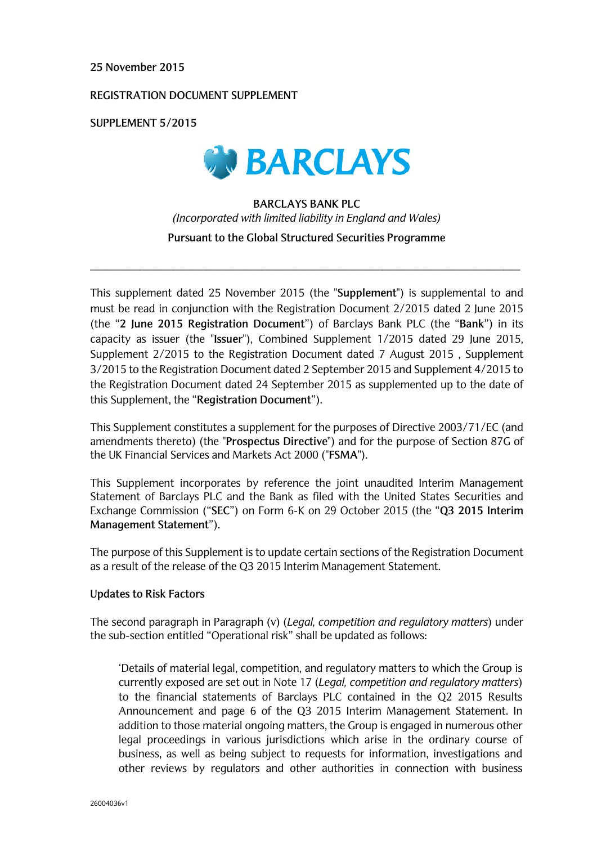#### **25 November 2015**

#### **REGISTRATION DOCUMENT SUPPLEMENT**

**SUPPLEMENT 5/2015**



## **BARCLAYS BANK PLC**  *(Incorporated with limited liability in England and Wales)* **Pursuant to the Global Structured Securities Programme**

\_\_\_\_\_\_\_\_\_\_\_\_\_\_\_\_\_\_\_\_\_\_\_\_\_\_\_\_\_\_\_\_\_\_\_\_\_\_\_\_\_\_\_\_\_\_\_\_\_\_\_\_\_\_\_\_\_\_\_\_\_\_\_\_\_\_\_\_\_\_\_\_\_\_\_\_\_\_

This supplement dated 25 November 2015 (the "**Supplement**") is supplemental to and must be read in conjunction with the Registration Document 2/2015 dated 2 June 2015 (the "**2 June 2015 Registration Document**") of Barclays Bank PLC (the "**Bank**") in its capacity as issuer (the "**Issuer**"), Combined Supplement 1/2015 dated 29 June 2015, Supplement 2/2015 to the Registration Document dated 7 August 2015 , Supplement 3/2015 to the Registration Document dated 2 September 2015 and Supplement 4/2015 to the Registration Document dated 24 September 2015 as supplemented up to the date of this Supplement, the "**Registration Document**").

This Supplement constitutes a supplement for the purposes of Directive 2003/71/EC (and amendments thereto) (the "**Prospectus Directive**") and for the purpose of Section 87G of the UK Financial Services and Markets Act 2000 ("**FSMA**").

This Supplement incorporates by reference the joint unaudited Interim Management Statement of Barclays PLC and the Bank as filed with the United States Securities and Exchange Commission ("**SEC**") on Form 6-K on 29 October 2015 (the "**Q3 2015 Interim Management Statement**").

The purpose of this Supplement is to update certain sections of the Registration Document as a result of the release of the Q3 2015 Interim Management Statement.

#### **Updates to Risk Factors**

The second paragraph in Paragraph (v) (*Legal, competition and regulatory matters*) under the sub-section entitled "Operational risk" shall be updated as follows:

'Details of material legal, competition, and regulatory matters to which the Group is currently exposed are set out in Note 17 (*Legal, competition and regulatory matters*) to the financial statements of Barclays PLC contained in the Q2 2015 Results Announcement and page 6 of the Q3 2015 Interim Management Statement. In addition to those material ongoing matters, the Group is engaged in numerous other legal proceedings in various jurisdictions which arise in the ordinary course of business, as well as being subject to requests for information, investigations and other reviews by regulators and other authorities in connection with business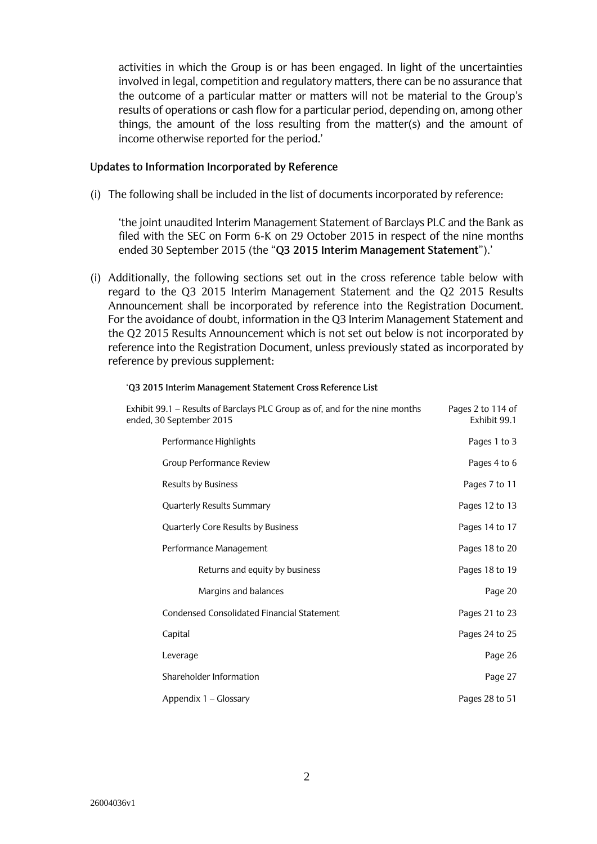activities in which the Group is or has been engaged. In light of the uncertainties involved in legal, competition and regulatory matters, there can be no assurance that the outcome of a particular matter or matters will not be material to the Group's results of operations or cash flow for a particular period, depending on, among other things, the amount of the loss resulting from the matter(s) and the amount of income otherwise reported for the period.'

#### **Updates to Information Incorporated by Reference**

(i) The following shall be included in the list of documents incorporated by reference:

'the joint unaudited Interim Management Statement of Barclays PLC and the Bank as filed with the SEC on Form 6-K on 29 October 2015 in respect of the nine months ended 30 September 2015 (the "**Q3 2015 Interim Management Statement**").'

(i) Additionally, the following sections set out in the cross reference table below with regard to the Q3 2015 Interim Management Statement and the Q2 2015 Results Announcement shall be incorporated by reference into the Registration Document. For the avoidance of doubt, information in the Q3 Interim Management Statement and the Q2 2015 Results Announcement which is not set out below is not incorporated by reference into the Registration Document, unless previously stated as incorporated by reference by previous supplement:

| Exhibit 99.1 – Results of Barclays PLC Group as of, and for the nine months<br>ended, 30 September 2015 | Pages 2 to 114 of<br>Exhibit 99.1 |
|---------------------------------------------------------------------------------------------------------|-----------------------------------|
| Performance Highlights                                                                                  | Pages 1 to 3                      |
| <b>Group Performance Review</b>                                                                         | Pages 4 to 6                      |
| <b>Results by Business</b>                                                                              | Pages 7 to 11                     |
| Quarterly Results Summary                                                                               | Pages 12 to 13                    |
| Quarterly Core Results by Business                                                                      | Pages 14 to 17                    |
| Performance Management                                                                                  | Pages 18 to 20                    |
| Returns and equity by business                                                                          | Pages 18 to 19                    |
| Margins and balances                                                                                    | Page 20                           |
| <b>Condensed Consolidated Financial Statement</b>                                                       | Pages 21 to 23                    |
| Capital                                                                                                 | Pages 24 to 25                    |
| Leverage                                                                                                | Page 26                           |
| Shareholder Information                                                                                 | Page 27                           |
| Appendix 1 – Glossary                                                                                   | Pages 28 to 51                    |

#### '**Q3 2015 Interim Management Statement Cross Reference List**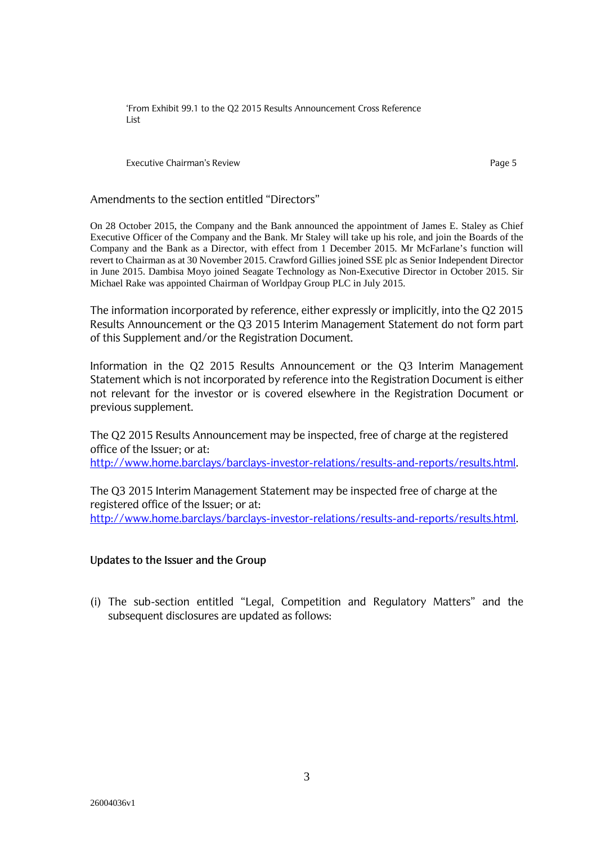'From Exhibit 99.1 to the Q2 2015 Results Announcement Cross Reference List

Executive Chairman's Review **Page 5** and the control of the control of the Page 5

#### Amendments to the section entitled "Directors"

On 28 October 2015, the Company and the Bank announced the appointment of James E. Staley as Chief Executive Officer of the Company and the Bank. Mr Staley will take up his role, and join the Boards of the Company and the Bank as a Director, with effect from 1 December 2015. Mr McFarlane's function will revert to Chairman as at 30 November 2015. Crawford Gillies joined SSE plc as Senior Independent Director in June 2015. Dambisa Moyo joined Seagate Technology as Non-Executive Director in October 2015. Sir Michael Rake was appointed Chairman of Worldpay Group PLC in July 2015.

The information incorporated by reference, either expressly or implicitly, into the Q2 2015 Results Announcement or the Q3 2015 Interim Management Statement do not form part of this Supplement and/or the Registration Document.

Information in the Q2 2015 Results Announcement or the Q3 Interim Management Statement which is not incorporated by reference into the Registration Document is either not relevant for the investor or is covered elsewhere in the Registration Document or previous supplement.

The Q2 2015 Results Announcement may be inspected, free of charge at the registered office of the Issuer; or at: http://www.home.barclays/barclays-investor-relations/results-and-reports/results.html.

The Q3 2015 Interim Management Statement may be inspected free of charge at the registered office of the Issuer; or at: http://www.home.barclays/barclays-investor-relations/results-and-reports/results.html.

### **Updates to the Issuer and the Group**

(i) The sub-section entitled "Legal, Competition and Regulatory Matters" and the subsequent disclosures are updated as follows: